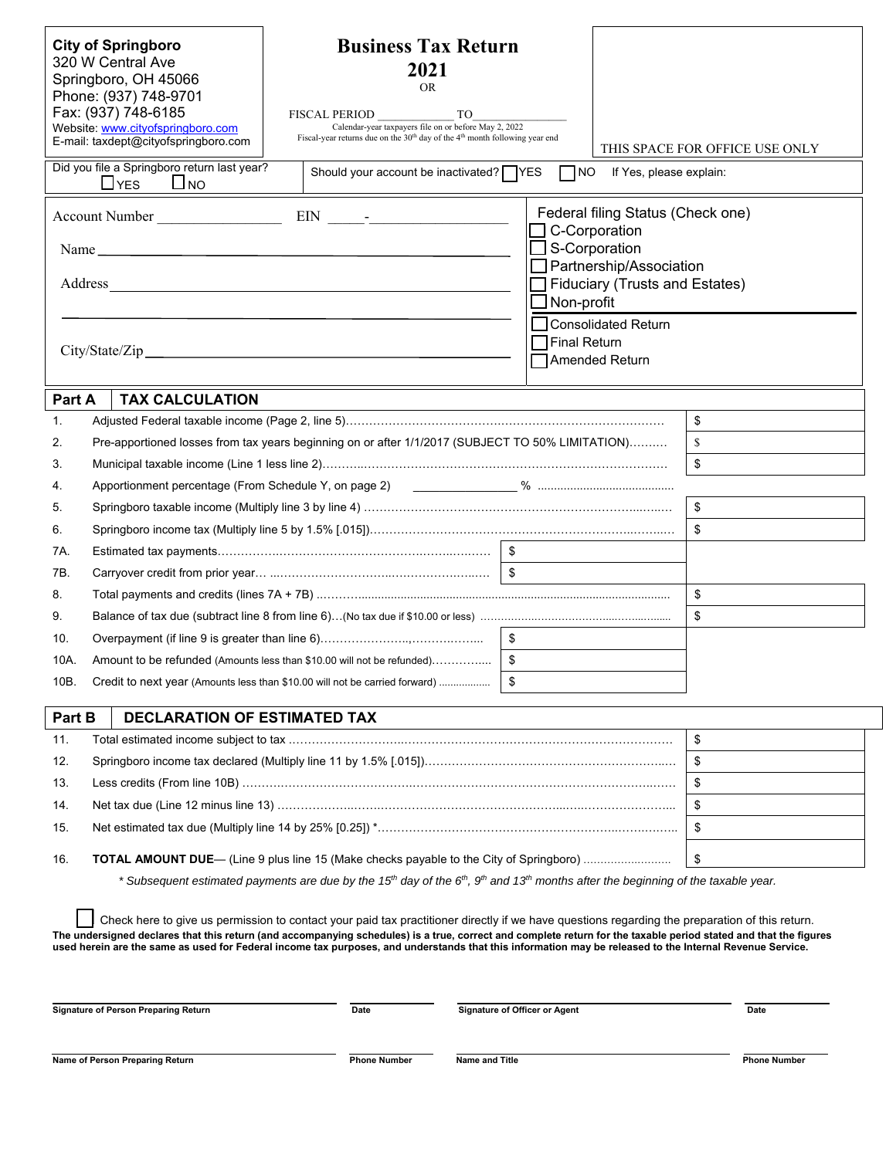| <b>Business Tax Return</b><br><b>City of Springboro</b><br>320 W Central Ave<br>2021<br>Springboro, OH 45066<br><b>OR</b><br>Phone: (937) 748-9701<br>Fax: (937) 748-6185<br>FISCAL PERIOD<br>TO<br>Website: www.cityofspringboro.com<br>Calendar-year taxpayers file on or before May 2, 2022<br>Fiscal-year returns due on the $30th$ day of the 4 <sup>th</sup> month following year end<br>E-mail: taxdept@cityofspringboro.com<br>Did you file a Springboro return last year? |                                 |                                                                                                                                                                                   |    |                                                                                                                                                                                                     | If Yes, please explain: | THIS SPACE FOR OFFICE USE ONLY |
|------------------------------------------------------------------------------------------------------------------------------------------------------------------------------------------------------------------------------------------------------------------------------------------------------------------------------------------------------------------------------------------------------------------------------------------------------------------------------------|---------------------------------|-----------------------------------------------------------------------------------------------------------------------------------------------------------------------------------|----|-----------------------------------------------------------------------------------------------------------------------------------------------------------------------------------------------------|-------------------------|--------------------------------|
|                                                                                                                                                                                                                                                                                                                                                                                                                                                                                    | $L$ <sub>YES</sub><br>$\Box$ NO | Should your account be inactivated? $\Box$ YES                                                                                                                                    |    | $\Box$ NO                                                                                                                                                                                           |                         |                                |
| Account Number                                                                                                                                                                                                                                                                                                                                                                                                                                                                     |                                 |                                                                                                                                                                                   |    | Federal filing Status (Check one)<br>C-Corporation<br>S-Corporation<br>Partnership/Association<br>Fiduciary (Trusts and Estates)<br>Non-profit<br><b>Consolidated Return</b><br><b>Final Return</b> |                         |                                |
|                                                                                                                                                                                                                                                                                                                                                                                                                                                                                    |                                 |                                                                                                                                                                                   |    |                                                                                                                                                                                                     | Amended Return          |                                |
|                                                                                                                                                                                                                                                                                                                                                                                                                                                                                    |                                 |                                                                                                                                                                                   |    |                                                                                                                                                                                                     |                         |                                |
| Part A                                                                                                                                                                                                                                                                                                                                                                                                                                                                             | <b>TAX CALCULATION</b>          |                                                                                                                                                                                   |    |                                                                                                                                                                                                     |                         |                                |
| 1.                                                                                                                                                                                                                                                                                                                                                                                                                                                                                 |                                 |                                                                                                                                                                                   |    |                                                                                                                                                                                                     |                         | \$                             |
| 2.                                                                                                                                                                                                                                                                                                                                                                                                                                                                                 |                                 | Pre-apportioned losses from tax years beginning on or after 1/1/2017 (SUBJECT TO 50% LIMITATION)                                                                                  |    |                                                                                                                                                                                                     |                         | $\mathbb{S}$                   |
| 3.                                                                                                                                                                                                                                                                                                                                                                                                                                                                                 |                                 |                                                                                                                                                                                   |    |                                                                                                                                                                                                     |                         | \$                             |
| 4.                                                                                                                                                                                                                                                                                                                                                                                                                                                                                 |                                 | Apportionment percentage (From Schedule Y, on page 2) [2010] Manuscript Manuscript Manuscript Manuscript Manus                                                                    |    |                                                                                                                                                                                                     |                         |                                |
| 5.                                                                                                                                                                                                                                                                                                                                                                                                                                                                                 |                                 |                                                                                                                                                                                   |    |                                                                                                                                                                                                     |                         | \$                             |
| 6.                                                                                                                                                                                                                                                                                                                                                                                                                                                                                 |                                 |                                                                                                                                                                                   |    |                                                                                                                                                                                                     |                         | \$                             |
| 7A.                                                                                                                                                                                                                                                                                                                                                                                                                                                                                |                                 |                                                                                                                                                                                   |    |                                                                                                                                                                                                     |                         |                                |
| 7B.                                                                                                                                                                                                                                                                                                                                                                                                                                                                                |                                 |                                                                                                                                                                                   |    |                                                                                                                                                                                                     |                         |                                |
| 8.                                                                                                                                                                                                                                                                                                                                                                                                                                                                                 | \$                              |                                                                                                                                                                                   |    |                                                                                                                                                                                                     |                         |                                |
| 9.                                                                                                                                                                                                                                                                                                                                                                                                                                                                                 | \$                              |                                                                                                                                                                                   |    |                                                                                                                                                                                                     |                         |                                |
| 10.                                                                                                                                                                                                                                                                                                                                                                                                                                                                                |                                 |                                                                                                                                                                                   | \$ |                                                                                                                                                                                                     |                         |                                |
| 10A.                                                                                                                                                                                                                                                                                                                                                                                                                                                                               |                                 | Amount to be refunded (Amounts less than \$10.00 will not be refunded)                                                                                                            |    |                                                                                                                                                                                                     |                         |                                |
| 10B.                                                                                                                                                                                                                                                                                                                                                                                                                                                                               |                                 | Credit to next year (Amounts less than \$10.00 will not be carried forward)                                                                                                       |    |                                                                                                                                                                                                     |                         |                                |
| Part B<br>DECLARATION OF ESTIMATED TAX                                                                                                                                                                                                                                                                                                                                                                                                                                             |                                 |                                                                                                                                                                                   |    |                                                                                                                                                                                                     |                         |                                |
| 11.                                                                                                                                                                                                                                                                                                                                                                                                                                                                                |                                 |                                                                                                                                                                                   |    |                                                                                                                                                                                                     |                         | \$                             |
| 12.                                                                                                                                                                                                                                                                                                                                                                                                                                                                                |                                 |                                                                                                                                                                                   |    |                                                                                                                                                                                                     |                         | \$                             |
| 13.                                                                                                                                                                                                                                                                                                                                                                                                                                                                                | \$                              |                                                                                                                                                                                   |    |                                                                                                                                                                                                     |                         |                                |
| 14.                                                                                                                                                                                                                                                                                                                                                                                                                                                                                |                                 |                                                                                                                                                                                   |    | \$                                                                                                                                                                                                  |                         |                                |
| 15.                                                                                                                                                                                                                                                                                                                                                                                                                                                                                |                                 |                                                                                                                                                                                   |    | \$                                                                                                                                                                                                  |                         |                                |
|                                                                                                                                                                                                                                                                                                                                                                                                                                                                                    |                                 |                                                                                                                                                                                   |    |                                                                                                                                                                                                     |                         |                                |
| <b>TOTAL AMOUNT DUE—</b> (Line 9 plus line 15 (Make checks payable to the City of Springboro)<br>\$<br>16.                                                                                                                                                                                                                                                                                                                                                                         |                                 |                                                                                                                                                                                   |    |                                                                                                                                                                                                     |                         |                                |
|                                                                                                                                                                                                                                                                                                                                                                                                                                                                                    |                                 | * Subsequent estimated payments are due by the 15 <sup>th</sup> day of the 6 <sup>th</sup> , 9 <sup>th</sup> and 13 <sup>th</sup> months after the beginning of the taxable year. |    |                                                                                                                                                                                                     |                         |                                |
|                                                                                                                                                                                                                                                                                                                                                                                                                                                                                    |                                 | Check here to give us permission to contact your paid tax practitioner directly if we have questions regarding the preparation of this return.                                    |    |                                                                                                                                                                                                     |                         |                                |

**The undersigned declares that this return (and accompanying schedules) is a true, correct and complete return for the taxable period stated and that the figures used herein are the same as used for Federal income tax purposes, and understands that this information may be released to the Internal Revenue Service.** 

| <b>Signature of Person Preparing Return</b> | Date                | <b>Signature of Officer or Agent</b> |                     |
|---------------------------------------------|---------------------|--------------------------------------|---------------------|
|                                             |                     |                                      |                     |
| Name of Person Preparing Return             | <b>Phone Number</b> | <b>Name and Title</b>                | <b>Phone Number</b> |